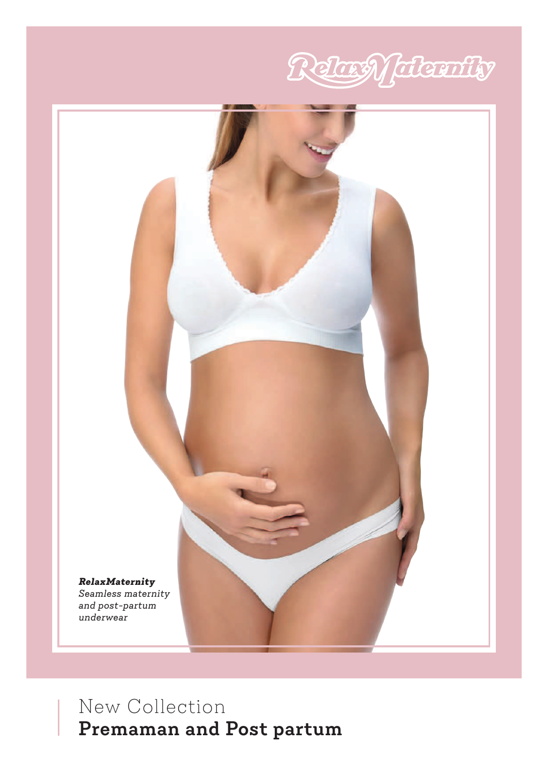



# New Collection **Premaman and Post partum**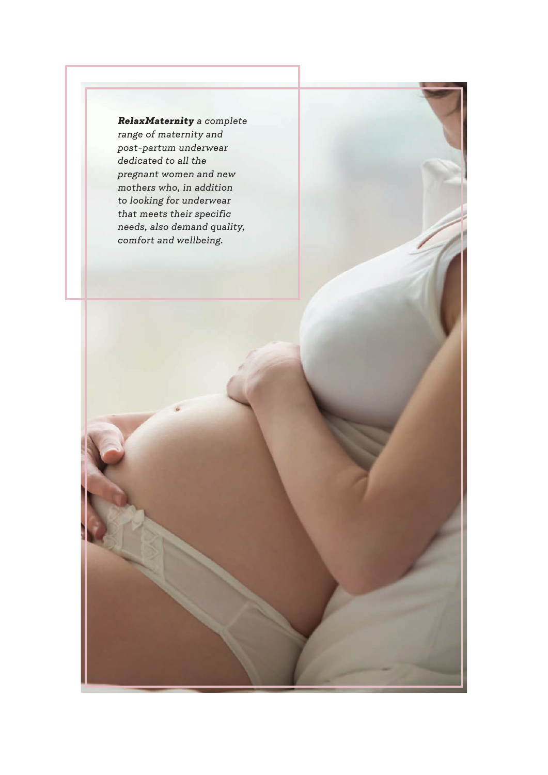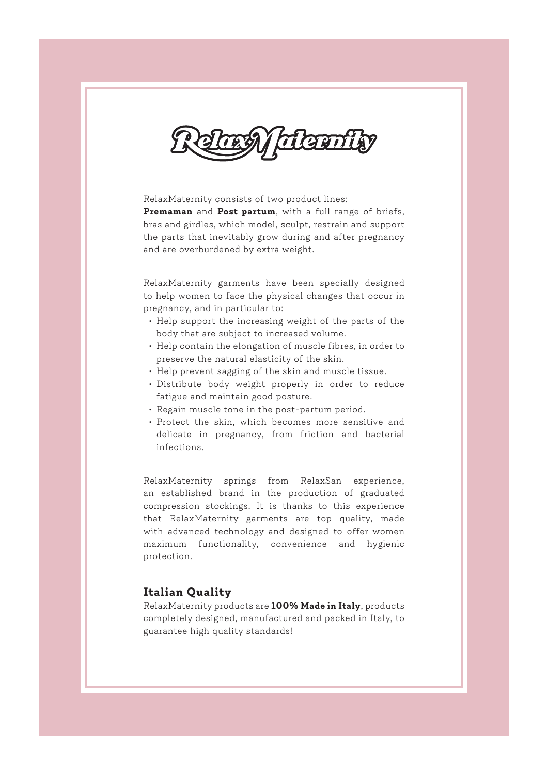TLEETT

RelaxMaternity consists of two product lines: **Premaman** and **Post partum**, with a full range of briefs, bras and girdles, which model, sculpt, restrain and support the parts that inevitably grow during and after pregnancy and are overburdened by extra weight.

RelaxMaternity garments have been specially designed to help women to face the physical changes that occur in pregnancy, and in particular to:

- Help support the increasing weight of the parts of the body that are subject to increased volume.
- Help contain the elongation of muscle fibres, in order to preserve the natural elasticity of the skin.
- Help prevent sagging of the skin and muscle tissue.
- Distribute body weight properly in order to reduce fatigue and maintain good posture.
- Regain muscle tone in the post-partum period.
- Protect the skin, which becomes more sensitive and delicate in pregnancy, from friction and bacterial infections.

RelaxMaternity springs from RelaxSan experience, an established brand in the production of graduated compression stockings. It is thanks to this experience that RelaxMaternity garments are top quality, made with advanced technology and designed to offer women maximum functionality, convenience and hygienic protection.

### **Italian Quality**

RelaxMaternity products are **100% Made in Italy**, products completely designed, manufactured and packed in Italy, to guarantee high quality standards!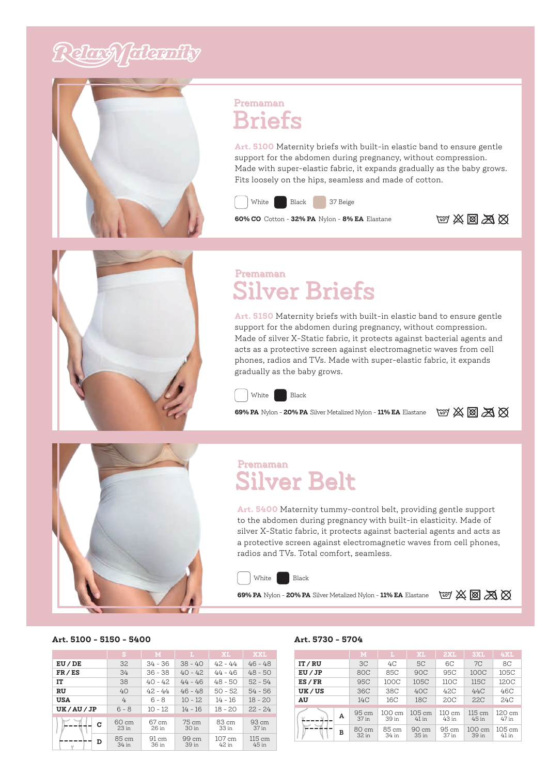# Relaxy falconity



### Premaman **Briefs**

**Art. 5100** Maternity briefs with built-in elastic band to ensure gentle support for the abdomen during pregnancy, without compression. Made with super-elastic fabric, it expands gradually as the baby grows. Fits loosely on the hips, seamless and made of cotton.



**60% CO** Cotton - **32% PA** Nylon - **8% EA** Elastane **140°** (40° **40°**  $\frac{1}{20}$  **X**  $\frac{1}{20}$  **X**  $\frac{1}{20}$ 





### Premaman Silver Briefs

**Art. 5150** Maternity briefs with built-in elastic band to ensure gentle support for the abdomen during pregnancy, without compression. Made of silver X-Static fabric, it protects against bacterial agents and acts as a protective screen against electromagnetic waves from cell phones, radios and TVs. Made with super-elastic fabric, it expands gradually as the baby grows.



**69% PA** Nylon - **20% PA** Silver Metalized Nylon - 11% EA Elastane  $\omega$   $\otimes$   $\otimes$   $\otimes$   $\otimes$ 

### Premaman Silver Belt

**Art. 5400** Maternity tummy-control belt, providing gentle support to the abdomen during pregnancy with built-in elasticity. Made of silver X-Static fabric, it protects against bacterial agents and acts as a protective screen against electromagnetic waves from cell phones, radios and TVs. Total comfort, seamless.



**69% PA** Nylon - **20% PA** Silver Metalized Nylon - **11% EA** Elastane **40°**



#### **Art. 5100 - 5150 - 5400**

|                 | s                         | M                        | L.                       | XI.             | <b>XXL</b>                |
|-----------------|---------------------------|--------------------------|--------------------------|-----------------|---------------------------|
| EU / DE         | 32.                       | $34 - 36$                | $38 - 40$                | $42 - 44$       | $46 - 48$                 |
| FR/ES           | 34                        | $36 - 38$                | $40 - 42$                | $44 - 46$       | $48 - 50$                 |
| IT              | 38                        | $40 - 42$                | $44 - 46$                | $48 - 50$       | $52 - 54$                 |
| RU              | 40                        | $42 - 44$                | $46 - 48$                | $50 - 52$       | $54 - 56$                 |
| USA             | 4                         | $6 - 8$                  | $10 - 12$                | $14 - 16$       | $18 - 20$                 |
| <b>UK/AU/JP</b> | $6 - 8$                   | $10 - 12$                | $14 - 16$                | $18 - 20$       | $22 - 24$                 |
| c               | 60 cm<br>23 <sub>in</sub> | 67 cm<br>26 in           | 75 cm<br>30 in           | 83 cm<br>33 in  | 93 cm<br>37 in            |
| D               | 85 cm<br>34 in            | $91 \text{ cm}$<br>36 in | $99 \text{ cm}$<br>39 in | 107 cm<br>42 in | $115 \text{ cm}$<br>45 in |

#### **Art. 5730 - 5704**

|             | M              | L.              | XL                          | 2XL             | 3XL                       | <b>4XL</b>        |  |
|-------------|----------------|-----------------|-----------------------------|-----------------|---------------------------|-------------------|--|
| IT/RU       | 3 <sup>C</sup> | 4C              | 5C                          | 6C              | 7C                        | 8C                |  |
| EU/JP       | <b>80C</b>     | 85C             | <b>90C</b>                  | 95C             | 100C                      | 105C              |  |
| $ES$ / $FR$ | <b>95C</b>     | 100C            | 105C                        | 110C            | 115C                      | 120C              |  |
| UK/US       | 36C            | 38C             | 40C                         | 42C             | 44C                       | 46C               |  |
| AU          | 14C            | 16C             | 18C                         | 20C             | 22C                       | 24C               |  |
|             |                |                 |                             |                 |                           |                   |  |
| А<br>в      | 95 cm<br>37 in | 100 cm<br>39 in | $105 \text{ cm}$<br>$41$ in | 110 cm<br>43 in | $115 \text{ cm}$<br>45 in | 120 cm<br>47 in   |  |
|             | 80 cm<br>32 in | 85 cm<br>34 in  | 90 cm<br>35 in              | 95 cm<br>37 in  | 100 cm<br>39 in           | 105 cm<br>$41$ in |  |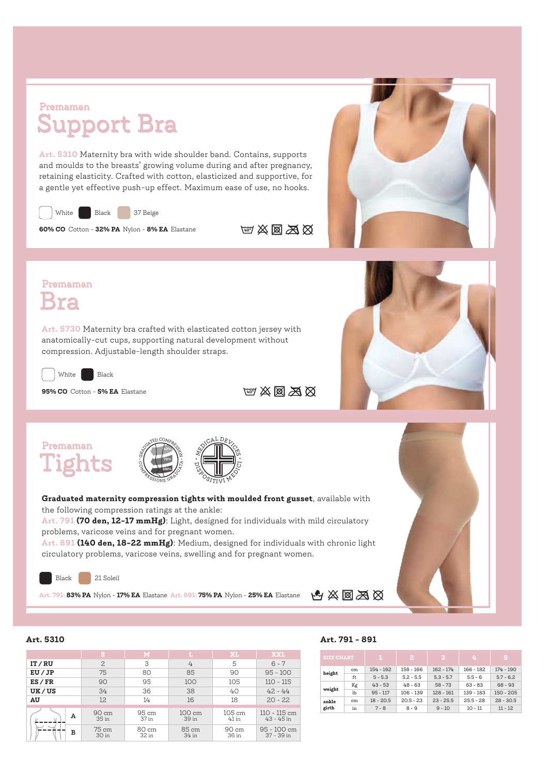### Premaman Support Bra

**Art. 5310** Maternity bra with wide shoulder band. Contains, supports and moulds to the breasts' growing volume during and after pregnancy, retaining elasticity. Crafted with cotton, elasticized and supportive, for a gentle yet effective push-up effect. Maximum ease of use, no hooks.



**60% CO** Cotton - **32% PA** Nylon - **8% EA** Elastane **1407 XX XX XX** 



### Premaman Bra

**Art. 5730** Maternity bra crafted with elasticated cotton jersey with anatomically-cut cups, supporting natural development without compression. Adjustable-length shoulder straps.



White **Black** 

**95% CO** Cotton - **5% EA** Elastane **195% CO**  $\boxtimes$  **86** 



### Premaman Tights



**Graduated maternity compression tights with moulded front gusset**, available with the following compression ratings at the ankle:

**Art. 791 (70 den, 12-17 mmHg)**: Light, designed for individuals with mild circulatory problems, varicose veins and for pregnant women.

**Art. 891 (140 den, 18-22 mmHg)**: Medium, designed for individuals with chronic light circulatory problems, varicose veins, swelling and for pregnant women.



**Art. 791: 83% PA** Nylon - **17% EA** Elastane **Art. 891: 75% PA** Nylon - **25% EA** Elastane



|             | S              | M              | L.              | XL                | <b>XXL</b>                     |
|-------------|----------------|----------------|-----------------|-------------------|--------------------------------|
| IT/RU       | $\overline{c}$ | 3              | 4               | 5                 | $6 - 7$                        |
| EU/JP       | 75             | 80             | 85              | 90                | $95 - 100$                     |
| $ES$ / $FR$ | 90             | 95             | 100             | 105               | $110 - 115$                    |
| UK/US       | 34             | 36             | 38              | 40                | $42 - 44$                      |
| AU          | 12             | 14             | 16              | 18                | $20 - 22$                      |
| А           | 90 cm<br>35 in | 95 cm<br>37 in | 100 cm<br>39 in | 105 cm<br>$41$ in | $110 - 115$ cm<br>$43 - 45$ in |
| в           | 75 cm<br>30 in | 80 cm<br>32 in | 85 cm<br>34 in  | 90 cm<br>36 in    | 95 - 100 cm<br>37 - 39 in      |

#### **Art. 5310 Art. 791 - 891**

| <b>SIZE CHART</b> |    |             | 2           | 3           | 4           | Б.          |
|-------------------|----|-------------|-------------|-------------|-------------|-------------|
|                   | cm | $154 - 162$ | 158 - 166   | $162 - 174$ | $166 - 182$ | $174 - 190$ |
| height            | ft | $5 - 5.3$   | $5.2 - 5.5$ | $5.3 - 5.7$ | $5.5 - 6$   | $5.7 - 6.2$ |
|                   | Kg | $43 - 53$   | $48 - 63$   | $58 - 73$   | $63 - 83$   | $68 - 93$   |
| weight            | lb | $95 - 117$  | $106 - 139$ | $128 - 161$ | 139 - 183   | $150 - 205$ |
| ankle             | cm | $18 - 20.5$ | $20.5 - 23$ | $23 - 25.5$ | $25.5 - 28$ | $28 - 30.5$ |
| girth             | in | $7 - 8$     | $8 - 9$     | $9 - 10$    | $10 - 11$   | $11 - 12$   |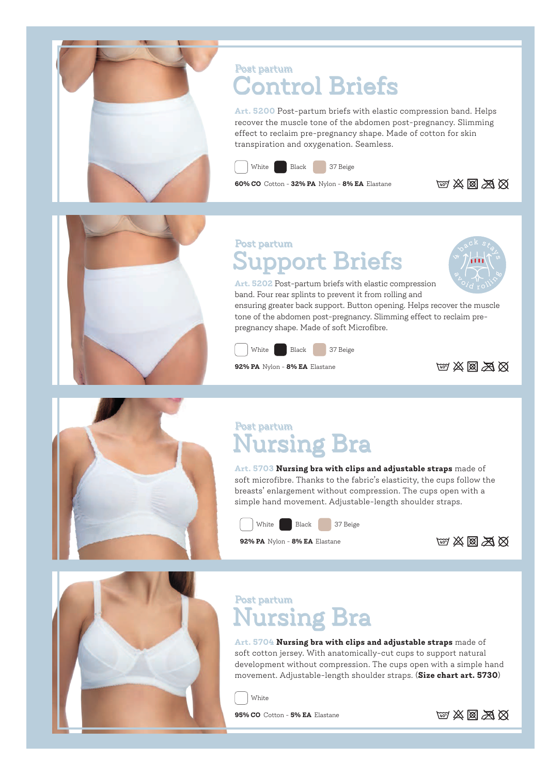

## Post partum Control Briefs

**Art. 5200** Post-partum briefs with elastic compression band. Helps recover the muscle tone of the abdomen post-pregnancy. Slimming effect to reclaim pre-pregnancy shape. Made of cotton for skin transpiration and oxygenation. Seamless.



White Black 37 Beige

**60% CO** Cotton - **32% PA** Nylon - **8% EA** Elastane **140°** X **M**  $\otimes$ 



### Post partum upport Briefs



**Art. 5202** Post-partum briefs with elastic compression band. Four rear splints to prevent it from rolling and

ensuring greater back support. Button opening. Helps recover the muscle tone of the abdomen post-pregnancy. Slimming effect to reclaim prepregnancy shape. Made of soft Microfibre.



**92% PA** Nylon - **8% EA** Elastane **10° A**  $\otimes$  **A**  $\otimes$ 





### Post partum Nursing Bra

**Art. 5703 Nursing bra with clips and adjustable straps** made of soft microfibre. Thanks to the fabric's elasticity, the cups follow the breasts' enlargement without compression. The cups open with a simple hand movement. Adjustable-length shoulder straps.



**92% PA** Nylon - **8% EA** Elastane **40°**



## Post partum Nursing Bra

**Art. 5704 Nursing bra with clips and adjustable straps** made of soft cotton jersey. With anatomically-cut cups to support natural development without compression. The cups open with a simple hand movement. Adjustable-length shoulder straps. (**Size chart art. 5730**)

White

**95% CO** Cotton - **5% EA** Elastane **40° A**  $\otimes$  **A**  $\otimes$ 

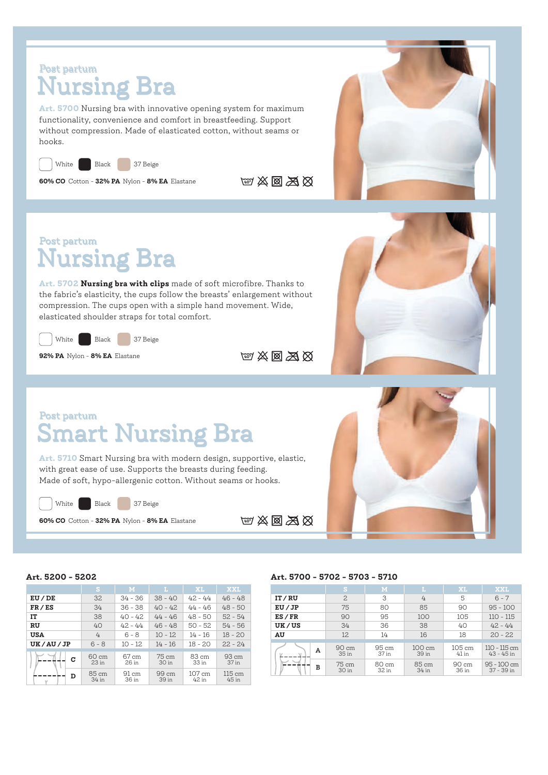## Post partum Nursing Bra

**Art. 5700** Nursing bra with innovative opening system for maximum functionality, convenience and comfort in breastfeeding. Support without compression. Made of elasticated cotton, without seams or hooks.

White Black 37 Beige

**60% CO** Cotton - **32% PA** Nylon - **8% EA** Elastane **1407 XX XX XX** 





**Art. 5702 Nursing bra with clips** made of soft microfibre. Thanks to the fabric's elasticity, the cups follow the breasts' enlargement without compression. The cups open with a simple hand movement. Wide, elasticated shoulder straps for total comfort.



**92% PA** Nylon - **8% EA** Elastane **40° A**  $\otimes$  **A**  $\otimes$ 



### Post partum Smart Nursing Bra

**Art. 5710** Smart Nursing bra with modern design, supportive, elastic, with great ease of use. Supports the breasts during feeding. Made of soft, hypo-allergenic cotton. Without seams or hooks.

White Black 37 Beige

**60% CO** Cotton - **32% PA** Nylon - **8% EA** Elastane **140°** (40° )  $\frac{1}{2}$  (40° )  $\frac{1}{2}$ 



|             | S                                   | M                        | L              | XL                        | <b>XXL</b>               |
|-------------|-------------------------------------|--------------------------|----------------|---------------------------|--------------------------|
| $EU$ / $DE$ | 32.                                 | $34 - 36$                | $38 - 40$      | $42 - 44$                 | $46 - 48$                |
| FR / ES     | 34                                  | $36 - 38$                | $40 - 42$      | $44 - 46$                 | $48 - 50$                |
| IT          | 38                                  | $40 - 42$                | $44 - 46$      | $48 - 50$                 | $52 - 54$                |
| <b>RU</b>   | 40                                  | $42 - 44$                | $46 - 48$      | $50 - 52$                 | $54 - 56$                |
| <b>USA</b>  | 4                                   | $6 - 8$                  | $10 - 12$      | $14 - 16$                 | $18 - 20$                |
| UK/AU/JP    | $6 - 8$                             | $10 - 12$                | $14 - 16$      | $18 - 20$                 | $22 - 24$                |
| c           | $60 \text{ cm}$<br>23 <sub>in</sub> | 67 cm<br>26 in           | 75 cm<br>30 in | $83 \text{ cm}$<br>33 in  | $93 \text{ cm}$<br>37 in |
| D           | 85 cm<br>34 in                      | $91 \text{ cm}$<br>36 in | 99 cm<br>39 in | $107 \text{ cm}$<br>42 in | 115 cm<br>45 in          |

#### **Art. 5200 - 5202 Art. 5700 - 5702 - 5703 - 5710**

|             | S              | M              | L               | XL                | <b>XXL</b>                     |  |  |
|-------------|----------------|----------------|-----------------|-------------------|--------------------------------|--|--|
| IT/RU       | $\overline{c}$ | 3              | 4               | 5                 | $6 - 7$                        |  |  |
| EU/JP       | 75             | 80             | 85              | 90                | $95 - 100$                     |  |  |
| $ES$ / $FR$ | 90             | 95             | 100             | 105               | $110 - 115$                    |  |  |
| UK/US       | 34             | 36             | 38              | 40                | $42 - 44$                      |  |  |
| AU          | 12             | 14             | 16              | 18                | $20 - 22$                      |  |  |
|             |                |                |                 |                   |                                |  |  |
| А<br>в      | 90 cm<br>35 in | 95 cm<br>37 in | 100 cm<br>39 in | 105 cm<br>$41$ in | $110 - 115$ cm<br>$43 - 45$ in |  |  |
|             | 75 cm<br>30 in | 80 cm<br>32 in | 85 cm<br>34 in  | 90 cm<br>36 in    | $95 - 100$ cm<br>37 - 39 in    |  |  |